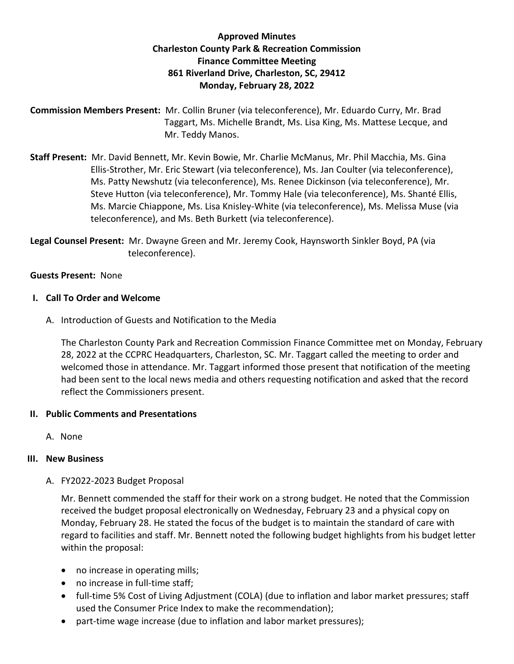# **Approved Minutes Charleston County Park & Recreation Commission Finance Committee Meeting 861 Riverland Drive, Charleston, SC, 29412 Monday, February 28, 2022**

**Commission Members Present:** Mr. Collin Bruner (via teleconference), Mr. Eduardo Curry, Mr. Brad Taggart, Ms. Michelle Brandt, Ms. Lisa King, Ms. Mattese Lecque, and Mr. Teddy Manos.

**Staff Present:** Mr. David Bennett, Mr. Kevin Bowie, Mr. Charlie McManus, Mr. Phil Macchia, Ms. Gina Ellis-Strother, Mr. Eric Stewart (via teleconference), Ms. Jan Coulter (via teleconference), Ms. Patty Newshutz (via teleconference), Ms. Renee Dickinson (via teleconference), Mr. Steve Hutton (via teleconference), Mr. Tommy Hale (via teleconference), Ms. Shanté Ellis, Ms. Marcie Chiappone, Ms. Lisa Knisley-White (via teleconference), Ms. Melissa Muse (via teleconference), and Ms. Beth Burkett (via teleconference).

**Legal Counsel Present:** Mr. Dwayne Green and Mr. Jeremy Cook, Haynsworth Sinkler Boyd, PA (via teleconference).

## **Guests Present:** None

## **I. Call To Order and Welcome**

A. Introduction of Guests and Notification to the Media

The Charleston County Park and Recreation Commission Finance Committee met on Monday, February 28, 2022 at the CCPRC Headquarters, Charleston, SC. Mr. Taggart called the meeting to order and welcomed those in attendance. Mr. Taggart informed those present that notification of the meeting had been sent to the local news media and others requesting notification and asked that the record reflect the Commissioners present.

## **II. Public Comments and Presentations**

A. None

# **III. New Business**

A. FY2022-2023 Budget Proposal

Mr. Bennett commended the staff for their work on a strong budget. He noted that the Commission received the budget proposal electronically on Wednesday, February 23 and a physical copy on Monday, February 28. He stated the focus of the budget is to maintain the standard of care with regard to facilities and staff. Mr. Bennett noted the following budget highlights from his budget letter within the proposal:

- no increase in operating mills;
- no increase in full-time staff;
- full-time 5% Cost of Living Adjustment (COLA) (due to inflation and labor market pressures; staff used the Consumer Price Index to make the recommendation);
- part-time wage increase (due to inflation and labor market pressures);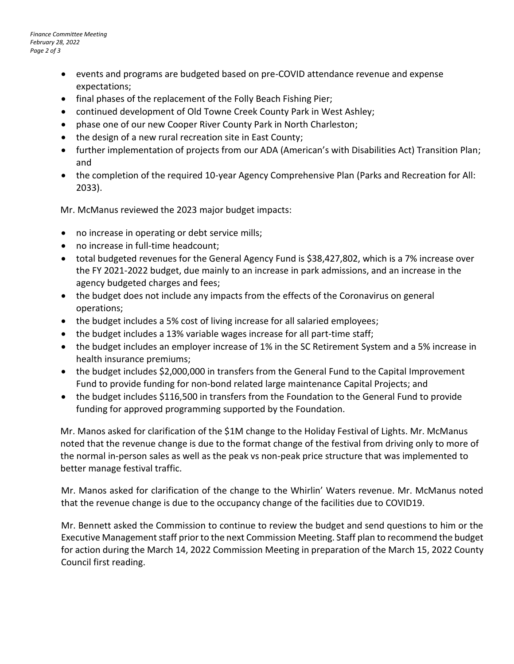- events and programs are budgeted based on pre-COVID attendance revenue and expense expectations;
- final phases of the replacement of the Folly Beach Fishing Pier;
- continued development of Old Towne Creek County Park in West Ashley;
- phase one of our new Cooper River County Park in North Charleston;
- the design of a new rural recreation site in East County;
- further implementation of projects from our ADA (American's with Disabilities Act) Transition Plan; and
- the completion of the required 10-year Agency Comprehensive Plan (Parks and Recreation for All: 2033).

Mr. McManus reviewed the 2023 major budget impacts:

- no increase in operating or debt service mills;
- no increase in full-time headcount;
- total budgeted revenues for the General Agency Fund is \$38,427,802, which is a 7% increase over the FY 2021-2022 budget, due mainly to an increase in park admissions, and an increase in the agency budgeted charges and fees;
- the budget does not include any impacts from the effects of the Coronavirus on general operations;
- the budget includes a 5% cost of living increase for all salaried employees;
- the budget includes a 13% variable wages increase for all part-time staff;
- the budget includes an employer increase of 1% in the SC Retirement System and a 5% increase in health insurance premiums;
- the budget includes \$2,000,000 in transfers from the General Fund to the Capital Improvement Fund to provide funding for non-bond related large maintenance Capital Projects; and
- the budget includes \$116,500 in transfers from the Foundation to the General Fund to provide funding for approved programming supported by the Foundation.

Mr. Manos asked for clarification of the \$1M change to the Holiday Festival of Lights. Mr. McManus noted that the revenue change is due to the format change of the festival from driving only to more of the normal in-person sales as well as the peak vs non-peak price structure that was implemented to better manage festival traffic.

Mr. Manos asked for clarification of the change to the Whirlin' Waters revenue. Mr. McManus noted that the revenue change is due to the occupancy change of the facilities due to COVID19.

Mr. Bennett asked the Commission to continue to review the budget and send questions to him or the Executive Management staff prior to the next Commission Meeting. Staff plan to recommend the budget for action during the March 14, 2022 Commission Meeting in preparation of the March 15, 2022 County Council first reading.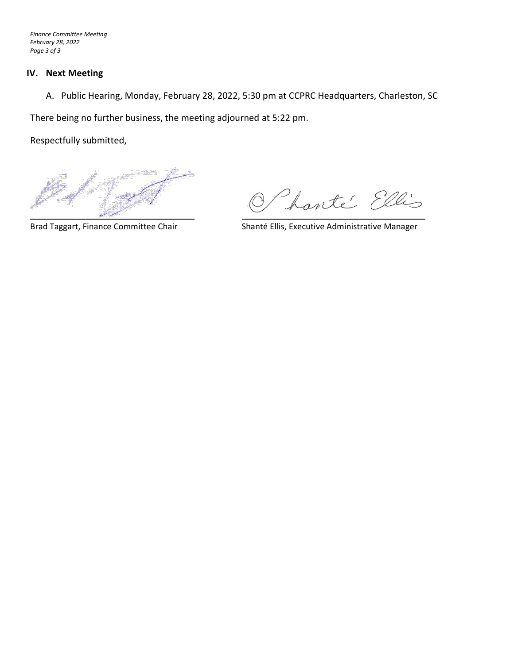*Finance Committee Meeting February 28, 2022 Page 3 of 3*

#### **IV. Next Meeting**

A. Public Hearing, Monday, February 28, 2022, 5:30 pm at CCPRC Headquarters, Charleston, SC

There being no further business, the meeting adjourned at 5:22 pm.

Respectfully submitted,

harté Ellis

Brad Taggart, Finance Committee Chair Shanté Ellis, Executive Administrative Manager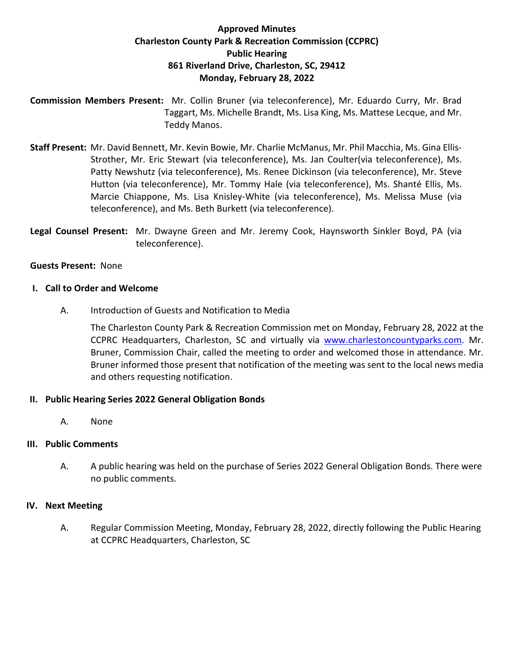# **Approved Minutes Charleston County Park & Recreation Commission (CCPRC) Public Hearing 861 Riverland Drive, Charleston, SC, 29412 Monday, February 28, 2022**

**Commission Members Present:** Mr. Collin Bruner (via teleconference), Mr. Eduardo Curry, Mr. Brad Taggart, Ms. Michelle Brandt, Ms. Lisa King, Ms. Mattese Lecque, and Mr. Teddy Manos.

**Staff Present:** Mr. David Bennett, Mr. Kevin Bowie, Mr. Charlie McManus, Mr. Phil Macchia, Ms. Gina Ellis-Strother, Mr. Eric Stewart (via teleconference), Ms. Jan Coulter(via teleconference), Ms. Patty Newshutz (via teleconference), Ms. Renee Dickinson (via teleconference), Mr. Steve Hutton (via teleconference), Mr. Tommy Hale (via teleconference), Ms. Shanté Ellis, Ms. Marcie Chiappone, Ms. Lisa Knisley-White (via teleconference), Ms. Melissa Muse (via teleconference), and Ms. Beth Burkett (via teleconference).

**Legal Counsel Present:** Mr. Dwayne Green and Mr. Jeremy Cook, Haynsworth Sinkler Boyd, PA (via teleconference).

#### **Guests Present:** None

#### **I. Call to Order and Welcome**

A. Introduction of Guests and Notification to Media

The Charleston County Park & Recreation Commission met on Monday, February 28, 2022 at the CCPRC Headquarters, Charleston, SC and virtually via [www.charlestoncountyparks.com.](http://www.charlestoncountyparks.com/) Mr. Bruner, Commission Chair, called the meeting to order and welcomed those in attendance. Mr. Bruner informed those present that notification of the meeting was sent to the local news media and others requesting notification.

## **II. Public Hearing Series 2022 General Obligation Bonds**

A. None

## **III. Public Comments**

A. A public hearing was held on the purchase of Series 2022 General Obligation Bonds. There were no public comments.

## **IV. Next Meeting**

A. Regular Commission Meeting, Monday, February 28, 2022, directly following the Public Hearing at CCPRC Headquarters, Charleston, SC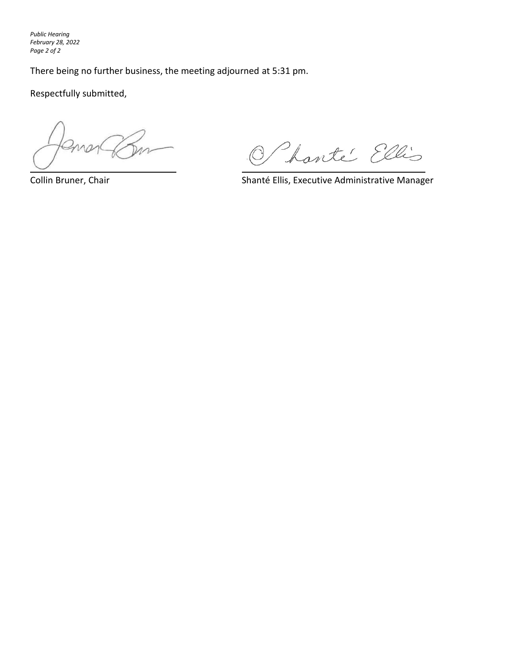*Public Hearing February 28, 2022 Page 2 of 2*

There being no further business, the meeting adjourned at 5:31 pm.

Respectfully submitted,

O harté Ellis

Collin Bruner, Chair **Shanté Ellis, Executive Administrative Manager** Shanté Ellis, Executive Administrative Manager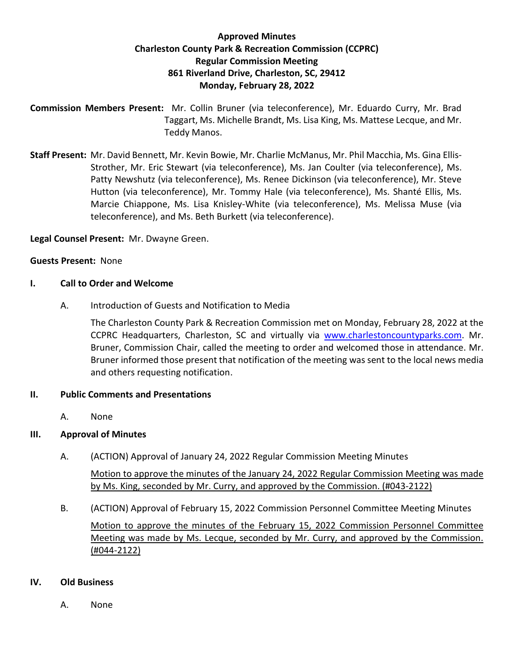# **Approved Minutes Charleston County Park & Recreation Commission (CCPRC) Regular Commission Meeting 861 Riverland Drive, Charleston, SC, 29412 Monday, February 28, 2022**

**Commission Members Present:** Mr. Collin Bruner (via teleconference), Mr. Eduardo Curry, Mr. Brad Taggart, Ms. Michelle Brandt, Ms. Lisa King, Ms. Mattese Lecque, and Mr. Teddy Manos.

**Staff Present:** Mr. David Bennett, Mr. Kevin Bowie, Mr. Charlie McManus, Mr. Phil Macchia, Ms. Gina Ellis-Strother, Mr. Eric Stewart (via teleconference), Ms. Jan Coulter (via teleconference), Ms. Patty Newshutz (via teleconference), Ms. Renee Dickinson (via teleconference), Mr. Steve Hutton (via teleconference), Mr. Tommy Hale (via teleconference), Ms. Shanté Ellis, Ms. Marcie Chiappone, Ms. Lisa Knisley-White (via teleconference), Ms. Melissa Muse (via teleconference), and Ms. Beth Burkett (via teleconference).

**Legal Counsel Present:** Mr. Dwayne Green.

## **Guests Present:** None

#### **I. Call to Order and Welcome**

A. Introduction of Guests and Notification to Media

The Charleston County Park & Recreation Commission met on Monday, February 28, 2022 at the CCPRC Headquarters, Charleston, SC and virtually via [www.charlestoncountyparks.com.](http://www.charlestoncountyparks.com/) Mr. Bruner, Commission Chair, called the meeting to order and welcomed those in attendance. Mr. Bruner informed those present that notification of the meeting was sent to the local news media and others requesting notification.

#### **II. Public Comments and Presentations**

A. None

## **III. Approval of Minutes**

- A. (ACTION) Approval of January 24, 2022 Regular Commission Meeting Minutes Motion to approve the minutes of the January 24, 2022 Regular Commission Meeting was made by Ms. King, seconded by Mr. Curry, and approved by the Commission. (#043-2122)
- B. (ACTION) Approval of February 15, 2022 Commission Personnel Committee Meeting Minutes Motion to approve the minutes of the February 15, 2022 Commission Personnel Committee Meeting was made by Ms. Lecque, seconded by Mr. Curry, and approved by the Commission. (#044-2122)

#### **IV. Old Business**

A. None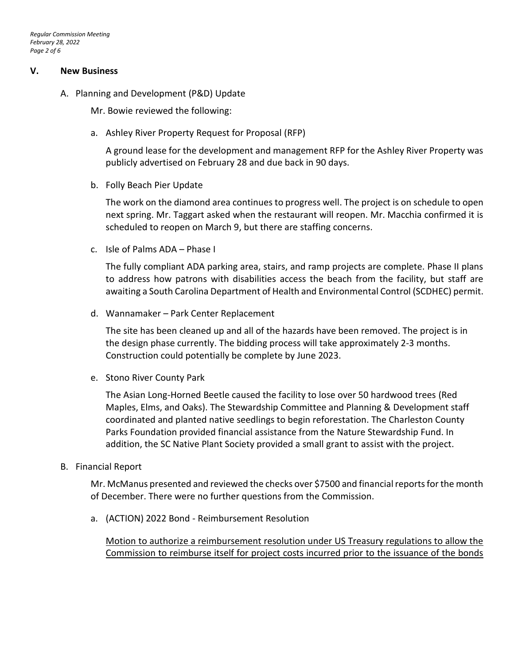#### **V. New Business**

A. Planning and Development (P&D) Update

Mr. Bowie reviewed the following:

a. Ashley River Property Request for Proposal (RFP)

A ground lease for the development and management RFP for the Ashley River Property was publicly advertised on February 28 and due back in 90 days.

b. Folly Beach Pier Update

The work on the diamond area continues to progress well. The project is on schedule to open next spring. Mr. Taggart asked when the restaurant will reopen. Mr. Macchia confirmed it is scheduled to reopen on March 9, but there are staffing concerns.

c. Isle of Palms ADA – Phase I

The fully compliant ADA parking area, stairs, and ramp projects are complete. Phase II plans to address how patrons with disabilities access the beach from the facility, but staff are awaiting a South Carolina Department of Health and Environmental Control (SCDHEC) permit.

d. Wannamaker – Park Center Replacement

The site has been cleaned up and all of the hazards have been removed. The project is in the design phase currently. The bidding process will take approximately 2-3 months. Construction could potentially be complete by June 2023.

e. Stono River County Park

The Asian Long-Horned Beetle caused the facility to lose over 50 hardwood trees (Red Maples, Elms, and Oaks). The Stewardship Committee and Planning & Development staff coordinated and planted native seedlings to begin reforestation. The Charleston County Parks Foundation provided financial assistance from the Nature Stewardship Fund. In addition, the SC Native Plant Society provided a small grant to assist with the project.

B. Financial Report

Mr. McManus presented and reviewed the checks over \$7500 and financial reports for the month of December. There were no further questions from the Commission.

a. (ACTION) 2022 Bond - Reimbursement Resolution

Motion to authorize a reimbursement resolution under US Treasury regulations to allow the Commission to reimburse itself for project costs incurred prior to the issuance of the bonds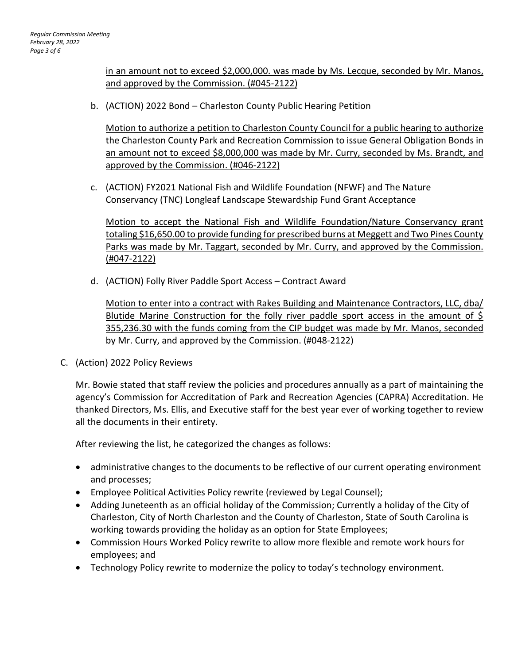in an amount not to exceed \$2,000,000. was made by Ms. Lecque, seconded by Mr. Manos, and approved by the Commission. (#045-2122)

b. (ACTION) 2022 Bond – Charleston County Public Hearing Petition

Motion to authorize a petition to Charleston County Council for a public hearing to authorize the Charleston County Park and Recreation Commission to issue General Obligation Bonds in an amount not to exceed \$8,000,000 was made by Mr. Curry, seconded by Ms. Brandt, and approved by the Commission. (#046-2122)

c. (ACTION) FY2021 National Fish and Wildlife Foundation (NFWF) and The Nature Conservancy (TNC) Longleaf Landscape Stewardship Fund Grant Acceptance

Motion to accept the National Fish and Wildlife Foundation/Nature Conservancy grant totaling \$16,650.00 to provide funding for prescribed burns at Meggett and Two Pines County Parks was made by Mr. Taggart, seconded by Mr. Curry, and approved by the Commission. (#047-2122)

d. (ACTION) Folly River Paddle Sport Access – Contract Award

Motion to enter into a contract with Rakes Building and Maintenance Contractors, LLC, dba/ Blutide Marine Construction for the folly river paddle sport access in the amount of \$ 355,236.30 with the funds coming from the CIP budget was made by Mr. Manos, seconded by Mr. Curry, and approved by the Commission. (#048-2122)

C. (Action) 2022 Policy Reviews

Mr. Bowie stated that staff review the policies and procedures annually as a part of maintaining the agency's Commission for Accreditation of Park and Recreation Agencies (CAPRA) Accreditation. He thanked Directors, Ms. Ellis, and Executive staff for the best year ever of working together to review all the documents in their entirety.

After reviewing the list, he categorized the changes as follows:

- administrative changes to the documents to be reflective of our current operating environment and processes;
- Employee Political Activities Policy rewrite (reviewed by Legal Counsel);
- Adding Juneteenth as an official holiday of the Commission; Currently a holiday of the City of Charleston, City of North Charleston and the County of Charleston, State of South Carolina is working towards providing the holiday as an option for State Employees;
- Commission Hours Worked Policy rewrite to allow more flexible and remote work hours for employees; and
- Technology Policy rewrite to modernize the policy to today's technology environment.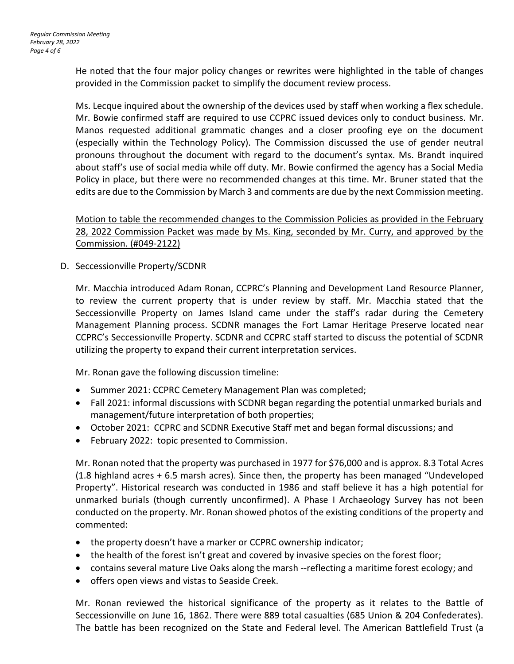He noted that the four major policy changes or rewrites were highlighted in the table of changes provided in the Commission packet to simplify the document review process.

Ms. Lecque inquired about the ownership of the devices used by staff when working a flex schedule. Mr. Bowie confirmed staff are required to use CCPRC issued devices only to conduct business. Mr. Manos requested additional grammatic changes and a closer proofing eye on the document (especially within the Technology Policy). The Commission discussed the use of gender neutral pronouns throughout the document with regard to the document's syntax. Ms. Brandt inquired about staff's use of social media while off duty. Mr. Bowie confirmed the agency has a Social Media Policy in place, but there were no recommended changes at this time. Mr. Bruner stated that the edits are due to the Commission by March 3 and comments are due by the next Commission meeting.

Motion to table the recommended changes to the Commission Policies as provided in the February 28, 2022 Commission Packet was made by Ms. King, seconded by Mr. Curry, and approved by the Commission. (#049-2122)

D. Seccessionville Property/SCDNR

Mr. Macchia introduced Adam Ronan, CCPRC's Planning and Development Land Resource Planner, to review the current property that is under review by staff. Mr. Macchia stated that the Seccessionville Property on James Island came under the staff's radar during the Cemetery Management Planning process. SCDNR manages the Fort Lamar Heritage Preserve located near CCPRC's Seccessionville Property. SCDNR and CCPRC staff started to discuss the potential of SCDNR utilizing the property to expand their current interpretation services.

Mr. Ronan gave the following discussion timeline:

- Summer 2021: CCPRC Cemetery Management Plan was completed;
- Fall 2021: informal discussions with SCDNR began regarding the potential unmarked burials and management/future interpretation of both properties;
- October 2021: CCPRC and SCDNR Executive Staff met and began formal discussions; and
- February 2022: topic presented to Commission.

Mr. Ronan noted that the property was purchased in 1977 for \$76,000 and is approx. 8.3 Total Acres (1.8 highland acres + 6.5 marsh acres). Since then, the property has been managed "Undeveloped Property". Historical research was conducted in 1986 and staff believe it has a high potential for unmarked burials (though currently unconfirmed). A Phase I Archaeology Survey has not been conducted on the property. Mr. Ronan showed photos of the existing conditions of the property and commented:

- the property doesn't have a marker or CCPRC ownership indicator;
- the health of the forest isn't great and covered by invasive species on the forest floor;
- contains several mature Live Oaks along the marsh --reflecting a maritime forest ecology; and
- offers open views and vistas to Seaside Creek.

Mr. Ronan reviewed the historical significance of the property as it relates to the Battle of Seccessionville on June 16, 1862. There were 889 total casualties (685 Union & 204 Confederates). The battle has been recognized on the State and Federal level. The American Battlefield Trust (a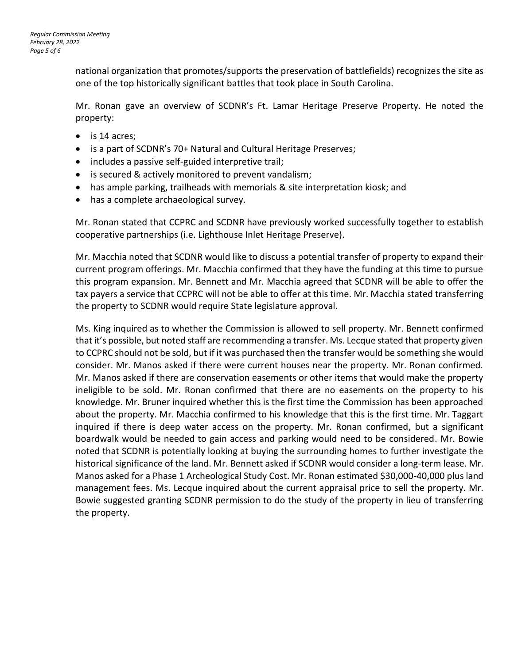national organization that promotes/supports the preservation of battlefields) recognizes the site as one of the top historically significant battles that took place in South Carolina.

Mr. Ronan gave an overview of SCDNR's Ft. Lamar Heritage Preserve Property. He noted the property:

- is 14 acres;
- is a part of SCDNR's 70+ Natural and Cultural Heritage Preserves;
- includes a passive self-guided interpretive trail;
- is secured & actively monitored to prevent vandalism;
- has ample parking, trailheads with memorials & site interpretation kiosk; and
- has a complete archaeological survey.

Mr. Ronan stated that CCPRC and SCDNR have previously worked successfully together to establish cooperative partnerships (i.e. Lighthouse Inlet Heritage Preserve).

Mr. Macchia noted that SCDNR would like to discuss a potential transfer of property to expand their current program offerings. Mr. Macchia confirmed that they have the funding at this time to pursue this program expansion. Mr. Bennett and Mr. Macchia agreed that SCDNR will be able to offer the tax payers a service that CCPRC will not be able to offer at this time. Mr. Macchia stated transferring the property to SCDNR would require State legislature approval.

Ms. King inquired as to whether the Commission is allowed to sell property. Mr. Bennett confirmed that it's possible, but noted staff are recommending a transfer. Ms. Lecque stated that property given to CCPRC should not be sold, but if it was purchased then the transfer would be something she would consider. Mr. Manos asked if there were current houses near the property. Mr. Ronan confirmed. Mr. Manos asked if there are conservation easements or other items that would make the property ineligible to be sold. Mr. Ronan confirmed that there are no easements on the property to his knowledge. Mr. Bruner inquired whether this is the first time the Commission has been approached about the property. Mr. Macchia confirmed to his knowledge that this is the first time. Mr. Taggart inquired if there is deep water access on the property. Mr. Ronan confirmed, but a significant boardwalk would be needed to gain access and parking would need to be considered. Mr. Bowie noted that SCDNR is potentially looking at buying the surrounding homes to further investigate the historical significance of the land. Mr. Bennett asked if SCDNR would consider a long-term lease. Mr. Manos asked for a Phase 1 Archeological Study Cost. Mr. Ronan estimated \$30,000-40,000 plus land management fees. Ms. Lecque inquired about the current appraisal price to sell the property. Mr. Bowie suggested granting SCDNR permission to do the study of the property in lieu of transferring the property.